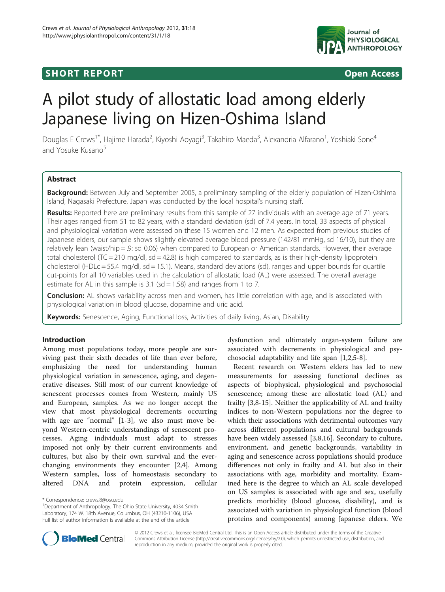## **SHORT REPORT SHORT CONSIDERING ACCESS**



# A pilot study of allostatic load among elderly Japanese living on Hizen-Oshima Island

Douglas E Crews<sup>1\*</sup>, Hajime Harada<sup>2</sup>, Kiyoshi Aoyagi<sup>3</sup>, Takahiro Maeda<sup>3</sup>, Alexandria Alfarano<sup>1</sup>, Yoshiaki Sone<sup>4</sup> and Yosuke Kusano<sup>5</sup>

## Abstract

Background: Between July and September 2005, a preliminary sampling of the elderly population of Hizen-Oshima Island, Nagasaki Prefecture, Japan was conducted by the local hospital's nursing staff.

Results: Reported here are preliminary results from this sample of 27 individuals with an average age of 71 years. Their ages ranged from 51 to 82 years, with a standard deviation (sd) of 7.4 years. In total, 33 aspects of physical and physiological variation were assessed on these 15 women and 12 men. As expected from previous studies of Japanese elders, our sample shows slightly elevated average blood pressure (142/81 mmHg, sd 16/10), but they are relatively lean (waist/hip = .9: sd 0.06) when compared to European or American standards. However, their average total cholesterol (TC = 210 mg/dl,  $sd = 42.8$ ) is high compared to standards, as is their high-density lipoprotein cholesterol (HDLc = 55.4 mg/dl, sd = 15.1). Means, standard deviations (sd), ranges and upper bounds for quartile cut-points for all 10 variables used in the calculation of allostatic load (AL) were assessed. The overall average estimate for AL in this sample is 3.1 (sd = 1.58) and ranges from 1 to 7.

**Conclusion:** AL shows variability across men and women, has little correlation with age, and is associated with physiological variation in blood glucose, dopamine and uric acid.

Keywords: Senescence, Aging, Functional loss, Activities of daily living, Asian, Disability

## Introduction

Among most populations today, more people are surviving past their sixth decades of life than ever before, emphasizing the need for understanding human physiological variation in senescence, aging, and degenerative diseases. Still most of our current knowledge of senescent processes comes from Western, mainly US and European, samples. As we no longer accept the view that most physiological decrements occurring with age are "normal" [[1-3](#page-5-0)], we also must move beyond Western-centric understandings of senescent processes. Aging individuals must adapt to stresses imposed not only by their current environments and cultures, but also by their own survival and the everchanging environments they encounter [[2,4\]](#page-5-0). Among Western samples, loss of homeostasis secondary to altered DNA and protein expression, cellular

dysfunction and ultimately organ-system failure are associated with decrements in physiological and psychosocial adaptability and life span [\[1](#page-5-0),[2](#page-5-0),[5-8\]](#page-5-0).

Recent research on Western elders has led to new measurements for assessing functional declines as aspects of biophysical, physiological and psychosocial senescence; among these are allostatic load (AL) and frailty [[3](#page-5-0),[8-15\]](#page-5-0). Neither the applicability of AL and frailty indices to non-Western populations nor the degree to which their associations with detrimental outcomes vary across different populations and cultural backgrounds have been widely assessed [\[3,8,16](#page-5-0)]. Secondary to culture, environment, and genetic backgrounds, variability in aging and senescence across populations should produce differences not only in frailty and AL but also in their associations with age, morbidity and mortality. Examined here is the degree to which an AL scale developed on US samples is associated with age and sex, usefully predicts morbidity (blood glucose, disability), and is associated with variation in physiological function (blood proteins and components) among Japanese elders. We



© 2012 Crews et al.; licensee BioMed Central Ltd. This is an Open Access article distributed under the terms of the Creative Commons Attribution License [\(http://creativecommons.org/licenses/by/2.0\)](http://creativecommons.org/licenses/by/2.0), which permits unrestricted use, distribution, and reproduction in any medium, provided the original work is properly cited.

<sup>\*</sup> Correspondence: [crews.8@osu.edu](mailto:crews.8@osu.edu) <sup>1</sup>

<sup>&</sup>lt;sup>1</sup>Department of Anthropology, The Ohio State University, 4034 Smith Laboratory, 174 W. 18th Avenue, Columbus, OH (43210-1106), USA Full list of author information is available at the end of the article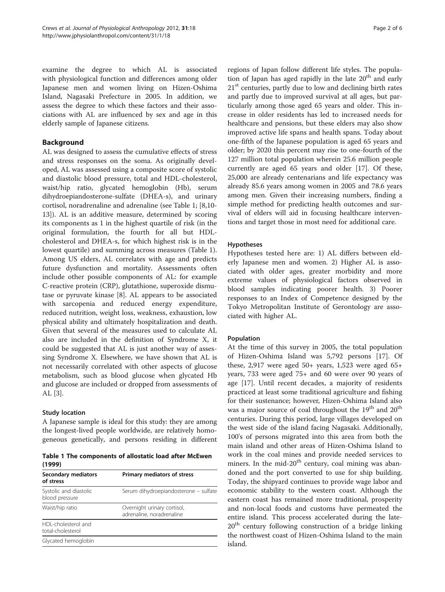examine the degree to which AL is associated with physiological function and differences among older Japanese men and women living on Hizen-Oshima Island, Nagasaki Prefecture in 2005. In addition, we assess the degree to which these factors and their associations with AL are influenced by sex and age in this elderly sample of Japanese citizens.

## Background

AL was designed to assess the cumulative effects of stress and stress responses on the soma. As originally developed, AL was assessed using a composite score of systolic and diastolic blood pressure, total and HDL-cholesterol, waist/hip ratio, glycated hemoglobin (Hb), serum dihydroepiandosterone-sulfate (DHEA-s), and urinary cortisol, noradrenaline and adrenaline (see Table 1; [\[8,10-](#page-5-0) [13\]](#page-5-0)). AL is an additive measure, determined by scoring its components as 1 in the highest quartile of risk (in the original formulation, the fourth for all but HDLcholesterol and DHEA-s, for which highest risk is in the lowest quartile) and summing across measures (Table 1). Among US elders, AL correlates with age and predicts future dysfunction and mortality. Assessments often include other possible components of AL: for example C-reactive protein (CRP), glutathione, superoxide dismutase or pyruvate kinase [\[8](#page-5-0)]. AL appears to be associated with sarcopenia and reduced energy expenditure, reduced nutrition, weight loss, weakness, exhaustion, low physical ability and ultimately hospitalization and death. Given that several of the measures used to calculate AL also are included in the definition of Syndrome X, it could be suggested that AL is just another way of assessing Syndrome X. Elsewhere, we have shown that AL is not necessarily correlated with other aspects of glucose metabolism, such as blood glucose when glycated Hb and glucose are included or dropped from assessments of AL [[3\]](#page-5-0).

## Study location

A Japanese sample is ideal for this study: they are among the longest-lived people worldwide, are relatively homogeneous genetically, and persons residing in different

Table 1 The components of allostatic load after McEwen (1999)

| Secondary mediators<br>of stress         | <b>Primary mediators of stress</b>                       |
|------------------------------------------|----------------------------------------------------------|
| Systolic and diastolic<br>blood pressure | Serum dihydroepiandosterone – sulfate                    |
| Waist/hip ratio                          | Overnight urinary cortisol,<br>adrenaline, noradrenaline |
| HDI-cholesterol and<br>total-cholesterol |                                                          |
| Glycated hemoglobin                      |                                                          |

regions of Japan follow different life styles. The population of Japan has aged rapidly in the late  $20<sup>th</sup>$  and early  $21<sup>st</sup>$  centuries, partly due to low and declining birth rates and partly due to improved survival at all ages, but particularly among those aged 65 years and older. This increase in older residents has led to increased needs for healthcare and pensions, but these elders may also show improved active life spans and health spans. Today about one-fifth of the Japanese population is aged 65 years and older; by 2020 this percent may rise to one-fourth of the 127 million total population wherein 25.6 million people currently are aged 65 years and older [\[17](#page-5-0)]. Of these, 25,000 are already centenarians and life expectancy was already 85.6 years among women in 2005 and 78.6 years among men. Given their increasing numbers, finding a simple method for predicting health outcomes and survival of elders will aid in focusing healthcare interventions and target those in most need for additional care.

## Hypotheses

Hypotheses tested here are: 1) AL differs between elderly Japanese men and women. 2) Higher AL is associated with older ages, greater morbidity and more extreme values of physiological factors observed in blood samples indicating poorer health. 3) Poorer responses to an Index of Competence designed by the Tokyo Metropolitan Institute of Gerontology are associated with higher AL.

## Population

At the time of this survey in 2005, the total population of Hizen-Oshima Island was 5,792 persons [[17](#page-5-0)]. Of these, 2,917 were aged  $50+$  years, 1,523 were aged  $65+$ years, 733 were aged 75+ and 60 were over 90 years of age [\[17\]](#page-5-0). Until recent decades, a majority of residents practiced at least some traditional agriculture and fishing for their sustenance; however, Hizen-Oshima Island also was a major source of coal throughout the  $19<sup>th</sup>$  and  $20<sup>th</sup>$ centuries. During this period, large villages developed on the west side of the island facing Nagasaki. Additionally, 100's of persons migrated into this area from both the main island and other areas of Hizen-Oshima Island to work in the coal mines and provide needed services to miners. In the mid- $20<sup>th</sup>$  century, coal mining was abandoned and the port converted to use for ship building. Today, the shipyard continues to provide wage labor and economic stability to the western coast. Although the eastern coast has remained more traditional, prosperity and non-local foods and customs have permeated the entire island. This process accelerated during the late- $20<sup>th</sup>$  century following construction of a bridge linking the northwest coast of Hizen-Oshima Island to the main island.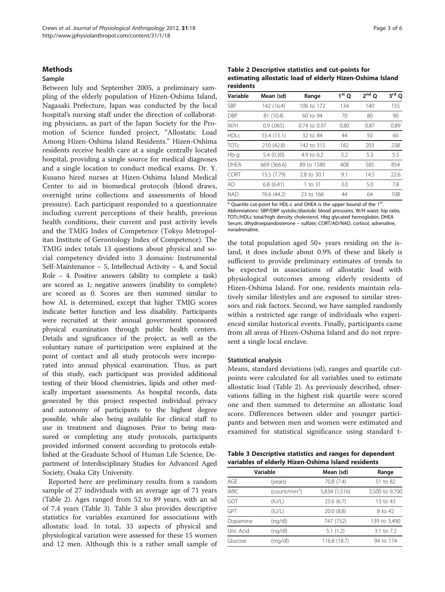#### <span id="page-2-0"></span>**Methods**

## Sample

Between July and September 2005, a preliminary sampling of the elderly population of Hizen-Oshima Island, Nagasaki Prefecture, Japan was conducted by the local hospital's nursing staff under the direction of collaborating physicians, as part of the Japan Society for the Promotion of Science funded project, "Allostatic Load Among Hizen-Oshima Island Residents." Hizen-Oshima residents receive health care at a single centrally located hospital, providing a single source for medical diagnoses and a single location to conduct medical exams. Dr. Y. Kusano hired nurses at Hizen-Oshima Island Medical Center to aid in biomedical protocols (blood draws, overnight urine collections and assessments of blood pressure). Each participant responded to a questionnaire including current perceptions of their health, previous health conditions, their current and past activity levels and the TMIG Index of Competence (Tokyo Metropolitan Institute of Gerontology Index of Competence). The TMIG index totals 13 questions about physical and social competency divided into 3 domains: Instrumental Self-Maintenance  $-5$ , Intellectual Activity  $-4$ , and Social Role – 4. Positive answers (ability to complete a task) are scored as 1; negative answers (inability to complete) are scored as 0. Scores are then summed similar to how AL is determined, except that higher TMIG scores indicate better function and less disability. Participants were recruited at their annual government sponsored physical examination through public health centers. Details and significance of the project, as well as the voluntary nature of participation were explained at the point of contact and all study protocols were incorporated into annual physical examination. Thus, as part of this study, each participant was provided additional testing of their blood chemistries, lipids and other medically important assessments. As hospital records, data generated by this project respected individual privacy and autonomy of participants to the highest degree possible, while also being available for clinical staff to use in treatment and diagnoses. Prior to being measured or completing any study protocols, participants provided informed consent according to protocols established at the Graduate School of Human Life Science, Department of Interdisciplinary Studies for Advanced Aged Society, Osaka City University.

Reported here are preliminary results from a random sample of 27 individuals with an average age of 71 years (Table 2). Ages ranged from 52 to 89 years, with an sd of 7.4 years (Table 3). Table 3 also provides descriptive statistics for variables examined for associations with allostatic load. In total, 33 aspects of physical and physiological variation were assessed for these 15 women and 12 men. Although this is a rather small sample of

Table 2 Descriptive statistics and cut-points for estimating allostatic load of elderly Hizen-Oshima Island residents

| Variable    | Mean (sd)   | Range        | $1st$ O | $2nd$ O | $3rd$ O |
|-------------|-------------|--------------|---------|---------|---------|
| <b>SBP</b>  | 142 (16.4)  | 106 to 172   | 134     | 140     | 155     |
| <b>DBP</b>  | 81 (10.4)   | 60 to 94     | 70      | 80      | 90      |
| W/H         | 0.9(0.065)  | 0.74 to 0.97 | 0.80    | 0.87    | 0.89    |
| HDC         | 55.4 (15.1) | 32 to 84     | 44      | 50      | 60      |
| <b>TOTC</b> | 210 (42.8)  | 142 to 315   | 182     | 203     | 238     |
| Hb-g        | 5.4(0.30)   | 4.9 to 6.2   | 5.2     | 5.3     | 5.5     |
| <b>DHFA</b> | 669 (366.6) | 89 to 1580   | 408     | 585     | 854     |
| <b>CORT</b> | 15.5 (7.79) | 2.8 to 30.1  | 9.1     | 14.5    | 22.6    |
| AD.         | 6.8(6.41)   | 1 to 31      | 3.0     | 5.0     | 7.8     |
| <b>NAD</b>  | 76.6 (44.2) | 23 to 166    | 44      | 64      | 108     |

\* Quartile cut-point for HDL-c and DHEA is the upper bound of the 1st. Abbreviations: SBP/DBP systolic/diastolic blood pressures, W/H waist: hip ratio, TOTc/HDLc total/high density cholesterol, Hbg glycated hemoglobin. DHEA Serum, dihydroepiandosterone – sulfate; CORT/AD/NAD, cortisol, adrenaline, noradrenaline.

the total population aged 50+ years residing on the island, it does include about 0.9% of these and likely is sufficient to provide preliminary estimates of trends to be expected in associations of allostatic load with physiological outcomes among elderly residents of Hizen-Oshima Island. For one, residents maintain relatively similar lifestyles and are exposed to similar stressors and risk factors. Second, we have sampled randomly within a restricted age range of individuals who experienced similar historical events. Finally, participants came from all areas of Hizen-Oshima Island and do not represent a single local enclave.

#### Statistical analysis

Means, standard deviations (sd), ranges and quartile cutpoints were calculated for all variables used to estimate allostatic load (Table 2). As previously described, observations falling in the highest risk quartile were scored one and then summed to determine an allostatic load score. Differences between older and younger participants and between men and women were estimated and examined for statistical significance using standard t-

Table 3 Descriptive statistics and ranges for dependent variables of elderly Hizen-Oshima Island residents

| Variable   |                | Mean (sd)     | Range          |  |
|------------|----------------|---------------|----------------|--|
| AGF        | (years)        | 70.8 (7.4)    | 51 to 82       |  |
| <b>WBC</b> | $(count/mm^3)$ | 5,834 (1,516) | 3,500 to 9,700 |  |
| GOT        | (IV/L)         | 25.6(6.7)     | 13 to 43       |  |
| GPT        | (IV/L)         | 20.0(8.8)     | 8 to 42        |  |
| Dopamine   | (nq/dl)        | 747 (752)     | 139 to 3,490   |  |
| Uric Acid  | (ng/dl)        | 5.1(1.2)      | 3.1 to 7.2     |  |
| Glucose    | (mg/dl)        | 116.8 (18.7)  | 94 to 174      |  |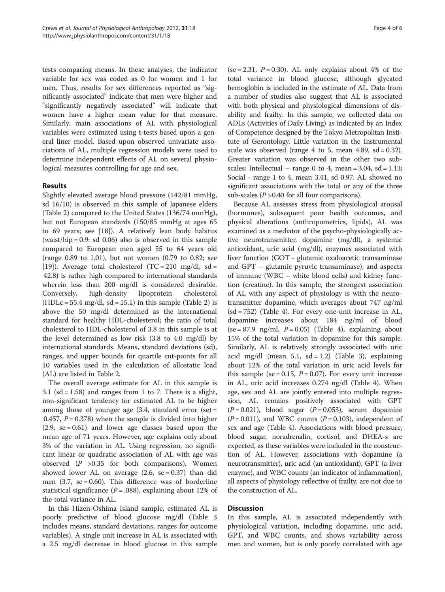tests comparing means. In these analyses, the indicator variable for sex was coded as 0 for women and 1 for men. Thus, results for sex differences reported as "significantly associated" indicate that men were higher and "significantly negatively associated" will indicate that women have a higher mean value for that measure. Similarly, main associations of AL with physiological variables were estimated using t-tests based upon a general liner model. Based upon observed univariate associations of AL, multiple regression models were used to determine independent effects of AL on several physiological measures controlling for age and sex.

## Results

Slightly elevated average blood pressure (142/81 mmHg, sd 16/10) is observed in this sample of Japanese elders (Table [2\)](#page-2-0) compared to the United States (136/74 mmHg), but not European standards (150/85 mmHg at ages 65 to 69 years; see [\[18\]](#page-5-0)). A relatively lean body habitus  $(waist/hip = 0.9: sd 0.06)$  also is observed in this sample compared to European men aged 55 to 64 years old (range 0.89 to 1.01), but not women (0.79 to 0.82; see [[19\]](#page-5-0)). Average total cholesterol  $(TC = 210 \text{ mg/dl}, \text{ sd} =$ 42.8) is rather high compared to international standards wherein less than 200 mg/dl is considered desirable. Conversely, high-density lipoprotein cholesterol  $(HDLc = 55.4 mg/dl, sd = 15.1)$  in this sample (Table [2\)](#page-2-0) is above the 50 mg/dl determined as the international standard for healthy HDL-cholesterol; the ratio of total cholesterol to HDL-cholesterol of 3.8 in this sample is at the level determined as low risk (3.8 to 4.0 mg/dl) by international standards. Means, standard deviations (sd), ranges, and upper bounds for quartile cut-points for all 10 variables used in the calculation of allostatic load (AL) are listed in Table [2](#page-2-0).

The overall average estimate for AL in this sample is 3.1 (sd =  $1.58$ ) and ranges from 1 to 7. There is a slight, non-significant tendency for estimated AL to be higher among those of younger age  $(3.4,$  standard error  $(se) =$ 0.457,  $P = 0.378$ ) when the sample is divided into higher  $(2.9, \text{ se } = 0.61)$  and lower age classes based upon the mean age of 71 years. However, age explains only about 3% of the variation in AL. Using regression, no significant linear or quadratic association of AL with age was observed  $(P > 0.35$  for both comparisons). Women showed lower AL on average  $(2.6, \text{ se} = 0.37)$  than did men  $(3.7, se = 0.60)$ . This difference was of borderline statistical significance ( $P = .088$ ), explaining about 12% of the total variance in AL.

In this Hizen-Oshima Island sample, estimated AL is poorly predictive of blood glucose mg/dl (Table [3](#page-2-0) includes means, standard deviations, ranges for outcome variables). A single unit increase in AL is associated with a 2.5 mg/dl decrease in blood glucose in this sample

(se = 2.31,  $P = 0.30$ ). AL only explains about 4% of the total variance in blood glucose, although glycated hemoglobin is included in the estimate of AL. Data from a number of studies also suggest that AL is associated with both physical and physiological dimensions of disability and frailty. In this sample, we collected data on ADLs (Activities of Daily Living) as indicated by an Index of Competence designed by the Tokyo Metropolitan Institute of Gerontology. Little variation in the Instrumental scale was observed (range 4 to 5, mean 4.89,  $sd = 0.32$ ). Greater variation was observed in the other two subscales: Intellectual – range 0 to 4, mean =  $3.04$ , sd =  $1.13$ ; Social - range 1 to 4, mean 3.41, sd 0.97. AL showed no significant associations with the total or any of the three sub-scales ( $P > 0.40$  for all four comparisons).

Because AL assesses stress from physiological arousal (hormones), subsequent poor health outcomes, and physical alterations (anthropometrics, lipids), AL was examined as a mediator of the psycho-physiologically active neurotransmitter, dopamine (mg/dl), a systemic antioxidant, uric acid (mg/dl), enzymes associated with liver function (GOT - glutamic oxaloacetic transaminase and GPT – glutamic pyruvic transaminase), and aspects of immune (WBC – white blood cells) and kidney function (creatine). In this sample, the strongest association of AL with any aspect of physiology is with the neurotransmitter dopamine, which averages about 747 ng/ml (sd = 752) (Table [4](#page-4-0)). For every one-unit increase in AL, dopamine increases about 184 ng/ml of blood  $(se = 87.9 \text{ ng/ml}, P = 0.05)$  (Table [4\)](#page-4-0), explaining about 15% of the total variation in dopamine for this sample. Similarly, AL is relatively strongly associated with uric acid mg/dl (mean 5.1,  $sd = 1.2$ ) (Table [3](#page-2-0)), explaining about 12% of the total variation in uric acid levels for this sample (se = 0.15,  $P = 0.07$ ). For every unit increase in AL, uric acid increases 0.274 ng/dl (Table [4](#page-4-0)). When age, sex and AL are jointly entered into multiple regression, AL remains positively associated with GPT  $(P = 0.021)$ , blood sugar  $(P = 0.053)$ , serum dopamine  $(P = 0.011)$ , and WBC counts  $(P = 0.103)$ , independent of sex and age (Table [4](#page-4-0)). Associations with blood pressure, blood sugar, noradrenalin, cortisol, and DHEA-s are expected, as these variables were included in the construction of AL. However, associations with dopamine (a neurotransmitter), uric acid (an antioxidant), GPT (a liver enzyme), and WBC counts (an indicator of inflammation), all aspects of physiology reflective of frailty, are not due to the construction of AL.

#### Discussion

In this sample, AL is associated independently with physiological variation, including dopamine, uric acid, GPT, and WBC counts, and shows variability across men and women, but is only poorly correlated with age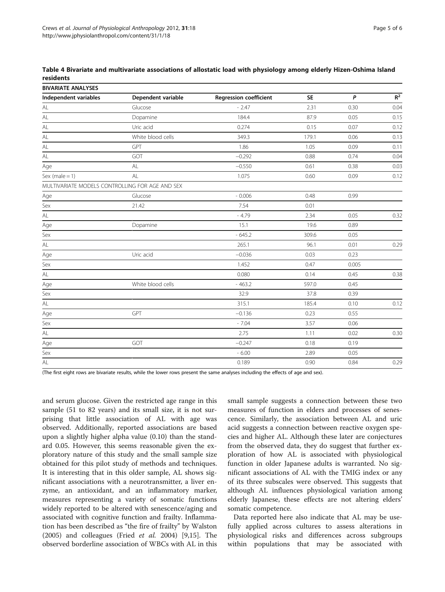<span id="page-4-0"></span>

| Table 4 Bivariate and multivariate associations of allostatic load with physiology among elderly Hizen-Oshima Island |  |  |  |  |
|----------------------------------------------------------------------------------------------------------------------|--|--|--|--|
| residents                                                                                                            |  |  |  |  |

| <b>BIVARIATE ANALYSES</b>                       |                    |                               |           |       |       |  |  |
|-------------------------------------------------|--------------------|-------------------------------|-----------|-------|-------|--|--|
| Independent variables                           | Dependent variable | <b>Regression coefficient</b> | <b>SE</b> | P     | $R^2$ |  |  |
| AL                                              | Glucose            | $-2.47$                       | 2.31      | 0.30  | 0.04  |  |  |
| $\mathsf{AL}$                                   | Dopamine           | 184.4                         | 87.9      | 0.05  | 0.15  |  |  |
| $\mathsf{AL}$                                   | Uric acid          | 0.274                         | 0.15      | 0.07  | 0.12  |  |  |
| $\mathsf{AL}$                                   | White blood cells  | 349.3                         | 179.1     | 0.06  | 0.13  |  |  |
| $\mathsf{AL}$                                   | GPT                | 1.86                          | 1.05      | 0.09  | 0.11  |  |  |
| $\mathsf{AL}$                                   | GOT                | $-0.292$                      | 0.88      | 0.74  | 0.04  |  |  |
| Age                                             | AL                 | $-0.550$                      | 0.61      | 0.38  | 0.03  |  |  |
| Sex (male $= 1$ )                               | AL                 | 1.075                         | 0.60      | 0.09  | 0.12  |  |  |
| MULTIVARIATE MODELS CONTROLLING FOR AGE AND SEX |                    |                               |           |       |       |  |  |
| Age                                             | Glucose            | $-0.006$                      | 0.48      | 0.99  |       |  |  |
| Sex                                             | 21.42              | 7.54                          | 0.01      |       |       |  |  |
| $\mathsf{AL}$                                   |                    | $-4.79$                       | 2.34      | 0.05  | 0.32  |  |  |
| Age                                             | Dopamine           | 15.1                          | 19.6      | 0.89  |       |  |  |
| Sex                                             |                    | $-645.2$                      | 309.6     | 0.05  |       |  |  |
| $\mathsf{AL}$                                   |                    | 265.1                         | 96.1      | 0.01  | 0.29  |  |  |
| Age                                             | Uric acid          | $-0.036$                      | 0.03      | 0.23  |       |  |  |
| Sex                                             |                    | 1.452                         | 0.47      | 0.005 |       |  |  |
| $\mathsf{AL}$                                   |                    | 0.080                         | 0.14      | 0.45  | 0.38  |  |  |
| Age                                             | White blood cells  | $-463.2$                      | 597.0     | 0.45  |       |  |  |
| Sex                                             |                    | 32.9                          | 37.8      | 0.39  |       |  |  |
| $\mathsf{AL}$                                   |                    | 315.1                         | 185.4     | 0.10  | 0.12  |  |  |
| Age                                             | GPT                | $-0.136$                      | 0.23      | 0.55  |       |  |  |
| Sex                                             |                    | $-7.04$                       | 3.57      | 0.06  |       |  |  |
| $\mathsf{AL}$                                   |                    | 2.75                          | 1.11      | 0.02  | 0.30  |  |  |
| Age                                             | GOT                | $-0.247$                      | 0.18      | 0.19  |       |  |  |
| Sex                                             |                    | $-6.00$                       | 2.89      | 0.05  |       |  |  |
| AL                                              |                    | 0.189                         | 0.90      | 0.84  | 0.29  |  |  |

(The first eight rows are bivariate results, while the lower rows present the same analyses including the effects of age and sex).

and serum glucose. Given the restricted age range in this sample (51 to 82 years) and its small size, it is not surprising that little association of AL with age was observed. Additionally, reported associations are based upon a slightly higher alpha value (0.10) than the standard 0.05. However, this seems reasonable given the exploratory nature of this study and the small sample size obtained for this pilot study of methods and techniques. It is interesting that in this older sample, AL shows significant associations with a neurotransmitter, a liver enzyme, an antioxidant, and an inflammatory marker, measures representing a variety of somatic functions widely reported to be altered with senescence/aging and associated with cognitive function and frailty. Inflammation has been described as "the fire of frailty" by Walston (2005) and colleagues (Fried et al. 2004) [[9](#page-5-0),[15](#page-5-0)]. The observed borderline association of WBCs with AL in this small sample suggests a connection between these two measures of function in elders and processes of senescence. Similarly, the association between AL and uric acid suggests a connection between reactive oxygen species and higher AL. Although these later are conjectures from the observed data, they do suggest that further exploration of how AL is associated with physiological function in older Japanese adults is warranted. No significant associations of AL with the TMIG index or any of its three subscales were observed. This suggests that although AL influences physiological variation among elderly Japanese, these effects are not altering elders' somatic competence.

Data reported here also indicate that AL may be usefully applied across cultures to assess alterations in physiological risks and differences across subgroups within populations that may be associated with